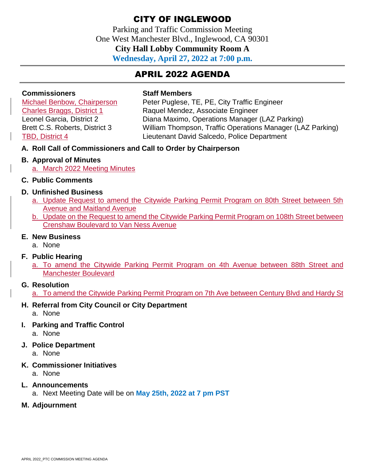Parking and Traffic Commission Meeting One West Manchester Blvd., Inglewood, CA 90301 **City Hall Lobby Community Room A Wednesday, April 27, 2022 at 7:00 p.m.**

# APRIL 2022 AGENDA

## **Commissioners Staff Members**

Michael Benbow, Chairperson Peter Puglese, TE, PE, City Traffic Engineer Charles Braggs, District 1 Raquel Mendez, Associate Engineer Leonel Garcia, District 2 Diana Maximo, Operations Manager (LAZ Parking) Brett C.S. Roberts, District 3 William Thompson, Traffic Operations Manager (LAZ Parking) TBD, District 4 Lieutenant David Salcedo, Police Department

**A. Roll Call of Commissioners and Call to Order by Chairperson** 

#### **B. Approval of Minutes**

- a. March 2022 Meeting Minutes
- **C. Public Comments**

#### **D. Unfinished Business**

- a. Update Request to amend the Citywide Parking Permit Program on 80th Street between 5th Avenue and Maitland Avenue
- b. Update on the Request to amend the Citywide Parking Permit Program on 108th Street between Crenshaw Boulevard to Van Ness Avenue

#### **E. New Business**

a. None

#### **F. Public Hearing**

a. To amend the Citywide Parking Permit Program on 4th Avenue between 88th Street and Manchester Boulevard

#### **G. Resolution**

a. To amend the Citywide Parking Permit Program on 7th Ave between Century Blvd and Hardy St

## **H. Referral from City Council or City Department**

a. None

**I. Parking and Traffic Control** 

a. None

**J. Police Department** 

a. None

**K. Commissioner Initiatives** 

a. None

- **L. Announcements** 
	- a. Next Meeting Date will be on **May 25th, 2022 at 7 pm PST**
- **M. Adjournment**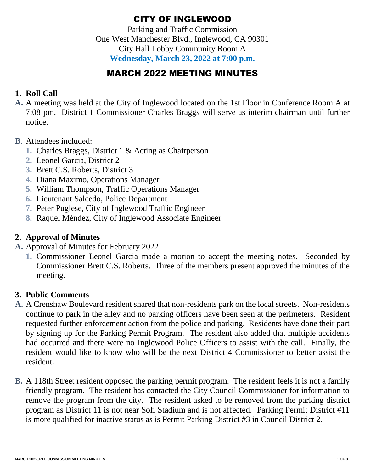Parking and Traffic Commission One West Manchester Blvd., Inglewood, CA 90301 City Hall Lobby Community Room A **Wednesday, March 23, 2022 at 7:00 p.m.**

# MARCH 2022 MEETING MINUTES

# **1. Roll Call**

- **A.** A meeting was held at the City of Inglewood located on the 1st Floor in Conference Room A at 7:08 pm. District 1 Commissioner Charles Braggs will serve as interim chairman until further notice.
- **B.** Attendees included:
	- **1.** Charles Braggs, District 1 & Acting as Chairperson
	- **2.** Leonel Garcia, District 2
	- **3.** Brett C.S. Roberts, District 3
	- **4.** Diana Maximo, Operations Manager
	- **5.** William Thompson, Traffic Operations Manager
	- **6.** Lieutenant Salcedo, Police Department
	- **7.** Peter Puglese, City of Inglewood Traffic Engineer
	- **8.** Raquel Méndez, City of Inglewood Associate Engineer

# **2. Approval of Minutes**

- **A.** Approval of Minutes for February 2022
	- **1.** Commissioner Leonel Garcia made a motion to accept the meeting notes. Seconded by Commissioner Brett C.S. Roberts. Three of the members present approved the minutes of the meeting.

# **3. Public Comments**

- **A.** A Crenshaw Boulevard resident shared that non-residents park on the local streets. Non-residents continue to park in the alley and no parking officers have been seen at the perimeters. Resident requested further enforcement action from the police and parking. Residents have done their part by signing up for the Parking Permit Program. The resident also added that multiple accidents had occurred and there were no Inglewood Police Officers to assist with the call. Finally, the resident would like to know who will be the next District 4 Commissioner to better assist the resident.
- **B.** A 118th Street resident opposed the parking permit program. The resident feels it is not a family friendly program. The resident has contacted the City Council Commissioner for information to remove the program from the city. The resident asked to be removed from the parking district program as District 11 is not near Sofi Stadium and is not affected. Parking Permit District #11 is more qualified for inactive status as is Permit Parking District #3 in Council District 2.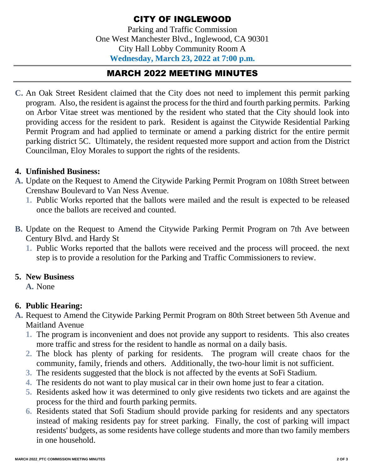Parking and Traffic Commission One West Manchester Blvd., Inglewood, CA 90301 City Hall Lobby Community Room A **Wednesday, March 23, 2022 at 7:00 p.m.**

# MARCH 2022 MEETING MINUTES

**C.** An Oak Street Resident claimed that the City does not need to implement this permit parking program. Also, the resident is against the process for the third and fourth parking permits. Parking on Arbor Vitae street was mentioned by the resident who stated that the City should look into providing access for the resident to park. Resident is against the Citywide Residential Parking Permit Program and had applied to terminate or amend a parking district for the entire permit parking district 5C. Ultimately, the resident requested more support and action from the District Councilman, Eloy Morales to support the rights of the residents.

## **4. Unfinished Business:**

- **A.** Update on the Request to Amend the Citywide Parking Permit Program on 108th Street between Crenshaw Boulevard to Van Ness Avenue.
	- **1.** Public Works reported that the ballots were mailed and the result is expected to be released once the ballots are received and counted.
- **B.** Update on the Request to Amend the Citywide Parking Permit Program on 7th Ave between Century Blvd. and Hardy St
	- **1.** Public Works reported that the ballots were received and the process will proceed. the next step is to provide a resolution for the Parking and Traffic Commissioners to review.

## **5. New Business**

**A.** None

# **6. Public Hearing:**

- **A.** Request to Amend the Citywide Parking Permit Program on 80th Street between 5th Avenue and Maitland Avenue
	- **1.** The program is inconvenient and does not provide any support to residents. This also creates more traffic and stress for the resident to handle as normal on a daily basis.
	- **2.** The block has plenty of parking for residents. The program will create chaos for the community, family, friends and others. Additionally, the two-hour limit is not sufficient.
	- **3.** The residents suggested that the block is not affected by the events at SoFi Stadium.
	- **4.** The residents do not want to play musical car in their own home just to fear a citation.
	- **5.** Residents asked how it was determined to only give residents two tickets and are against the process for the third and fourth parking permits.
	- **6.** Residents stated that Sofi Stadium should provide parking for residents and any spectators instead of making residents pay for street parking. Finally, the cost of parking will impact residents' budgets, as some residents have college students and more than two family members in one household.